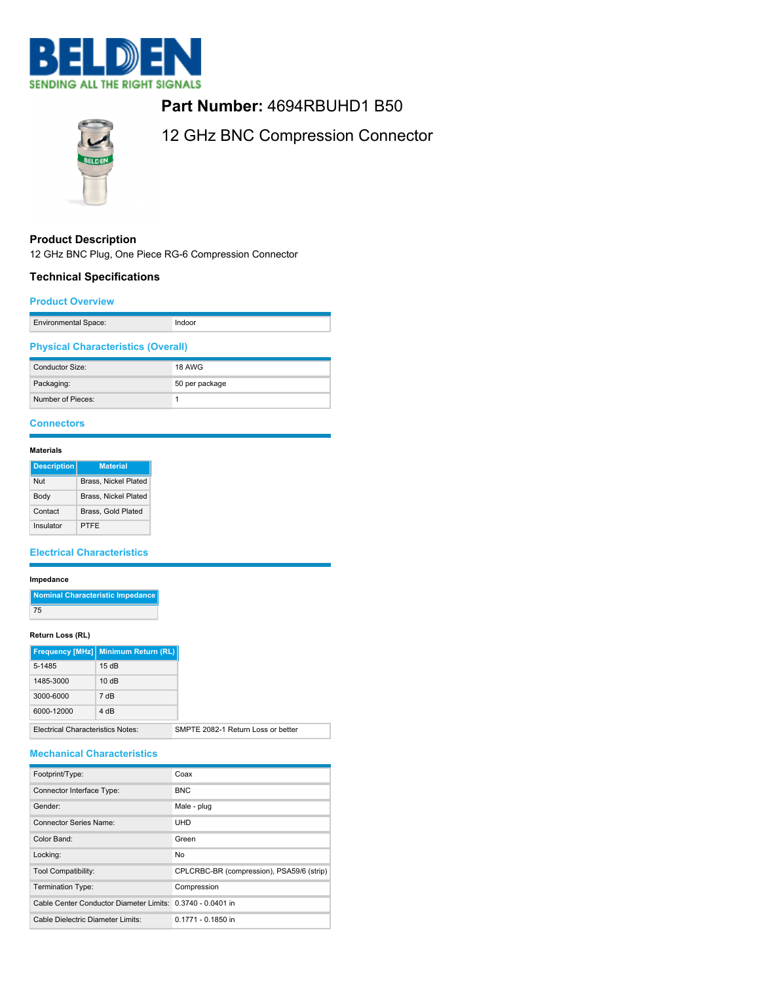

# **Part Number:** 4694RBUHD1 B50



12 GHz BNC Compression Connector

# **Product Description**

12 GHz BNC Plug, One Piece RG-6 Compression Connector

# **Technical Specifications**

### **Product Overview**

| <b>Environmental Space:</b> |  |
|-----------------------------|--|
|                             |  |

# **Physical Characteristics (Overall)**

| Conductor Size:   | <b>18 AWG</b>  |
|-------------------|----------------|
| Packaging:        | 50 per package |
| Number of Pieces: |                |

# **Connectors**

# **Materials**

| <b>Description</b> | <b>Material</b>      |
|--------------------|----------------------|
| Nut                | Brass, Nickel Plated |
| Body               | Brass, Nickel Plated |
| Contact            | Brass, Gold Plated   |
| Insulator          | PTFF                 |

### **Electrical Characteristics**

### **Impedance**

| Nominal Characteristic Impedance |
|----------------------------------|
| 75                               |

### **Return Loss (RL)**

|                                          | Frequency [MHz] Minimum Return (RL) |
|------------------------------------------|-------------------------------------|
| 5-1485                                   | 15dB                                |
| 1485-3000                                | 10dB                                |
| 3000-6000                                | 7 dB                                |
| 6000-12000                               | 4 dB                                |
| <b>Electrical Characteristics Notes:</b> | SMPTE 2082-1 Return Loss or better  |

### **Mechanical Characteristics**

| Footprint/Type:                                            | Coax                                      |
|------------------------------------------------------------|-------------------------------------------|
| Connector Interface Type:                                  | <b>BNC</b>                                |
| Gender:                                                    | Male - plug                               |
| Connector Series Name:                                     | UHD                                       |
| Color Band:                                                | Green                                     |
| Locking:                                                   | No.                                       |
| Tool Compatibility:                                        | CPLCRBC-BR (compression), PSA59/6 (strip) |
| Termination Type:                                          | Compression                               |
| Cable Center Conductor Diameter Limits: 0.3740 - 0.0401 in |                                           |
| Cable Dielectric Diameter Limits:                          | 0.1771 - 0.1850 in                        |